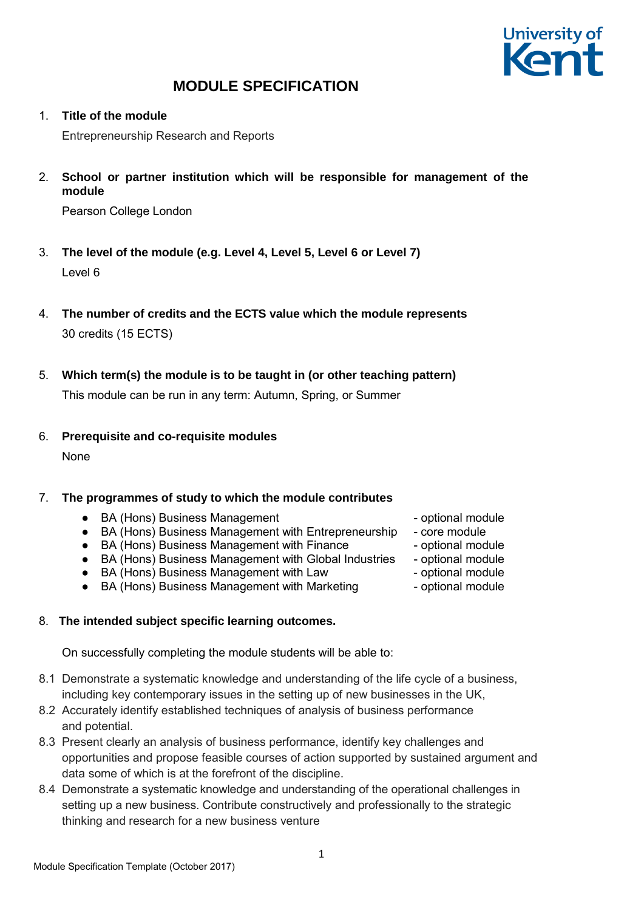

1. **Title of the module**

Entrepreneurship Research and Reports

2. **School or partner institution which will be responsible for management of the module**

Pearson College London

- 3. **The level of the module (e.g. Level 4, Level 5, Level 6 or Level 7)** Level 6
- 4. **The number of credits and the ECTS value which the module represents** 30 credits (15 ECTS)
- 5. **Which term(s) the module is to be taught in (or other teaching pattern)** This module can be run in any term: Autumn, Spring, or Summer
- 6. **Prerequisite and co-requisite modules**

None

#### 7. **The programmes of study to which the module contributes**

- BA (Hons) Business Management → → optional module
- BA (Hons) Business Management with Entrepreneurship core module
- BA (Hons) Business Management with Finance  $\blacksquare$  optional module
- BA (Hons) Business Management with Global Industries optional module
- BA (Hons) Business Management with Law optional module
- BA (Hons) Business Management with Marketing  $-$  optional module

#### 8. **The intended subject specific learning outcomes.**

On successfully completing the module students will be able to:

- 8.1 Demonstrate a systematic knowledge and understanding of the life cycle of a business, including key contemporary issues in the setting up of new businesses in the UK,
- 8.2 Accurately identify established techniques of analysis of business performance and potential.
- 8.3 Present clearly an analysis of business performance, identify key challenges and opportunities and propose feasible courses of action supported by sustained argument and data some of which is at the forefront of the discipline.
- 8.4 Demonstrate a systematic knowledge and understanding of the operational challenges in setting up a new business. Contribute constructively and professionally to the strategic thinking and research for a new business venture
- 
- 
- 
- 
- 
-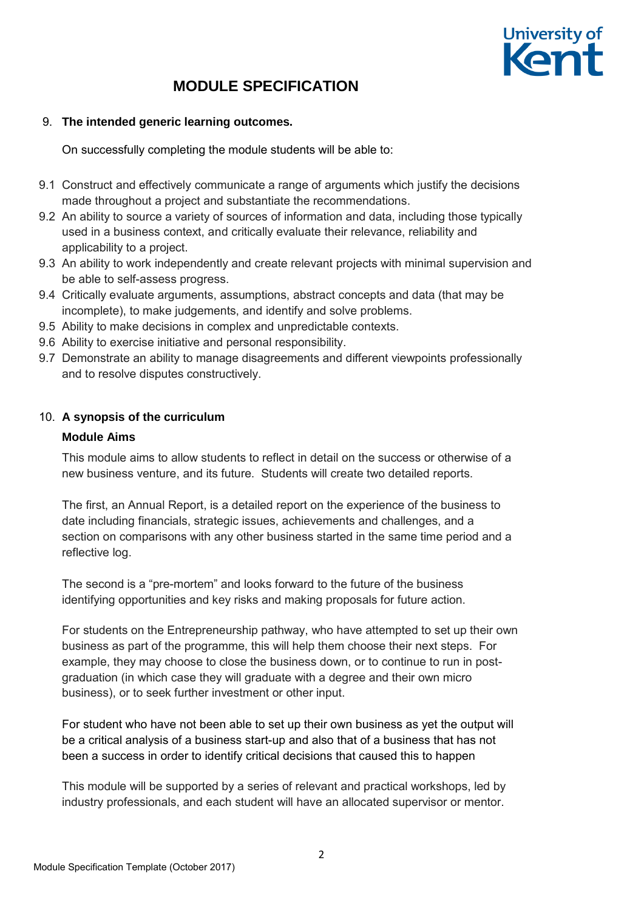

#### 9. **The intended generic learning outcomes.**

On successfully completing the module students will be able to:

- 9.1 Construct and effectively communicate a range of arguments which justify the decisions made throughout a project and substantiate the recommendations.
- 9.2 An ability to source a variety of sources of information and data, including those typically used in a business context, and critically evaluate their relevance, reliability and applicability to a project.
- 9.3 An ability to work independently and create relevant projects with minimal supervision and be able to self-assess progress.
- 9.4 Critically evaluate arguments, assumptions, abstract concepts and data (that may be incomplete), to make judgements, and identify and solve problems.
- 9.5 Ability to make decisions in complex and unpredictable contexts.
- 9.6 Ability to exercise initiative and personal responsibility.
- 9.7 Demonstrate an ability to manage disagreements and different viewpoints professionally and to resolve disputes constructively.

#### 10. **A synopsis of the curriculum**

#### **Module Aims**

This module aims to allow students to reflect in detail on the success or otherwise of a new business venture, and its future. Students will create two detailed reports.

The first, an Annual Report, is a detailed report on the experience of the business to date including financials, strategic issues, achievements and challenges, and a section on comparisons with any other business started in the same time period and a reflective log.

The second is a "pre-mortem" and looks forward to the future of the business identifying opportunities and key risks and making proposals for future action.

For students on the Entrepreneurship pathway, who have attempted to set up their own business as part of the programme, this will help them choose their next steps. For example, they may choose to close the business down, or to continue to run in postgraduation (in which case they will graduate with a degree and their own micro business), or to seek further investment or other input.

For student who have not been able to set up their own business as yet the output will be a critical analysis of a business start-up and also that of a business that has not been a success in order to identify critical decisions that caused this to happen

This module will be supported by a series of relevant and practical workshops, led by industry professionals, and each student will have an allocated supervisor or mentor.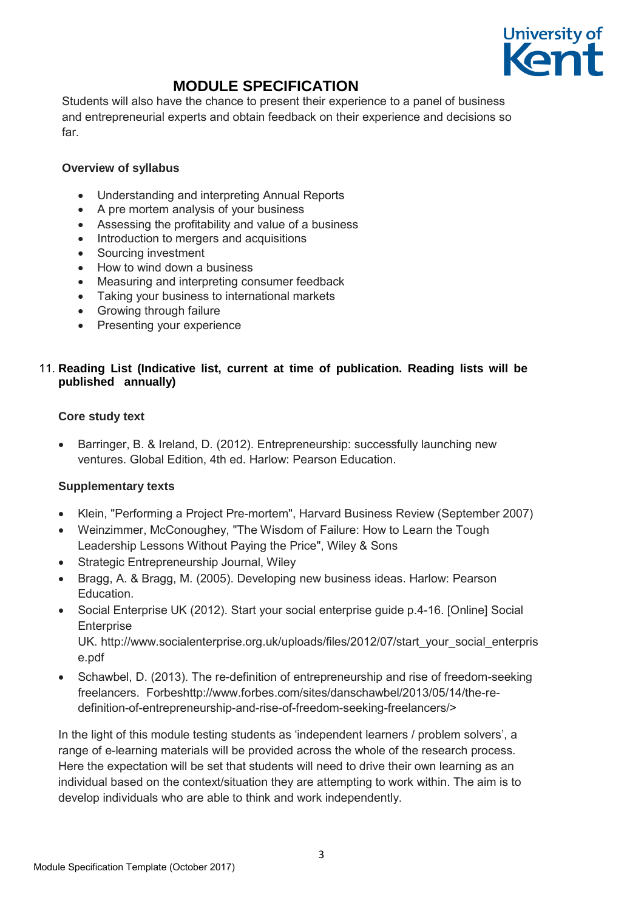

Students will also have the chance to present their experience to a panel of business and entrepreneurial experts and obtain feedback on their experience and decisions so far.

#### **Overview of syllabus**

- Understanding and interpreting Annual Reports
- A pre mortem analysis of your business
- Assessing the profitability and value of a business
- Introduction to mergers and acquisitions
- Sourcing investment
- How to wind down a business
- Measuring and interpreting consumer feedback
- Taking your business to international markets
- Growing through failure
- Presenting your experience

#### 11. **Reading List (Indicative list, current at time of publication. Reading lists will be published annually)**

#### **Core study text**

 Barringer, B. & Ireland, D. (2012). Entrepreneurship: successfully launching new ventures. Global Edition, 4th ed. Harlow: Pearson Education.

#### **Supplementary texts**

- Klein, "Performing a Project Pre-mortem", Harvard Business Review (September 2007)
- Weinzimmer, McConoughey, "The Wisdom of Failure: How to Learn the Tough Leadership Lessons Without Paying the Price", Wiley & Sons
- Strategic Entrepreneurship Journal, Wiley
- Bragg, A. & Bragg, M. (2005). Developing new business ideas. Harlow: Pearson Education.
- Social Enterprise UK (2012). Start your social enterprise guide p.4-16. [Online] Social **Enterprise** UK. http://www.socialenterprise.org.uk/uploads/files/2012/07/start\_your\_social\_enterpris e.pdf
- Schawbel, D. (2013). The re-definition of entrepreneurship and rise of freedom-seeking freelancers. Forbeshttp://www.forbes.com/sites/danschawbel/2013/05/14/the-redefinition-of-entrepreneurship-and-rise-of-freedom-seeking-freelancers/>

In the light of this module testing students as 'independent learners / problem solvers', a range of e-learning materials will be provided across the whole of the research process. Here the expectation will be set that students will need to drive their own learning as an individual based on the context/situation they are attempting to work within. The aim is to develop individuals who are able to think and work independently.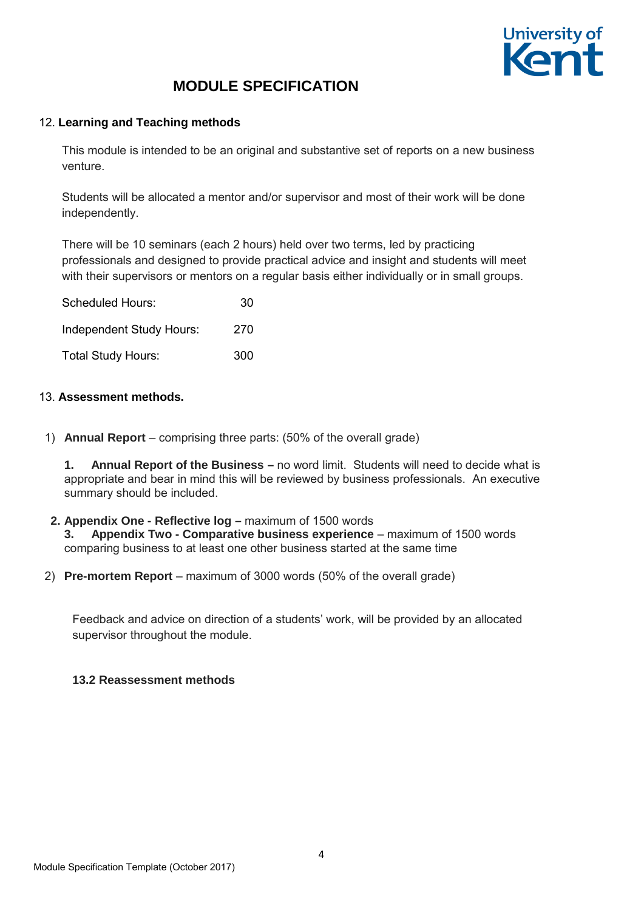

#### 12. **Learning and Teaching methods**

This module is intended to be an original and substantive set of reports on a new business venture.

Students will be allocated a mentor and/or supervisor and most of their work will be done independently.

There will be 10 seminars (each 2 hours) held over two terms, led by practicing professionals and designed to provide practical advice and insight and students will meet with their supervisors or mentors on a regular basis either individually or in small groups.

| <b>Scheduled Hours:</b>   | 30  |  |  |
|---------------------------|-----|--|--|
| Independent Study Hours:  | 270 |  |  |
| <b>Total Study Hours:</b> | 300 |  |  |

#### 13. **Assessment methods.**

1) **Annual Report** – comprising three parts: (50% of the overall grade)

**1. Annual Report of the Business –** no word limit. Students will need to decide what is appropriate and bear in mind this will be reviewed by business professionals. An executive summary should be included.

- **2. Appendix One Reflective log** maximum of 1500 words **3.** Appendix Two - Comparative business experience – maximum of 1500 words comparing business to at least one other business started at the same time
- 2) **Pre-mortem Report**  maximum of 3000 words (50% of the overall grade)

Feedback and advice on direction of a students' work, will be provided by an allocated supervisor throughout the module.

#### **13.2 Reassessment methods**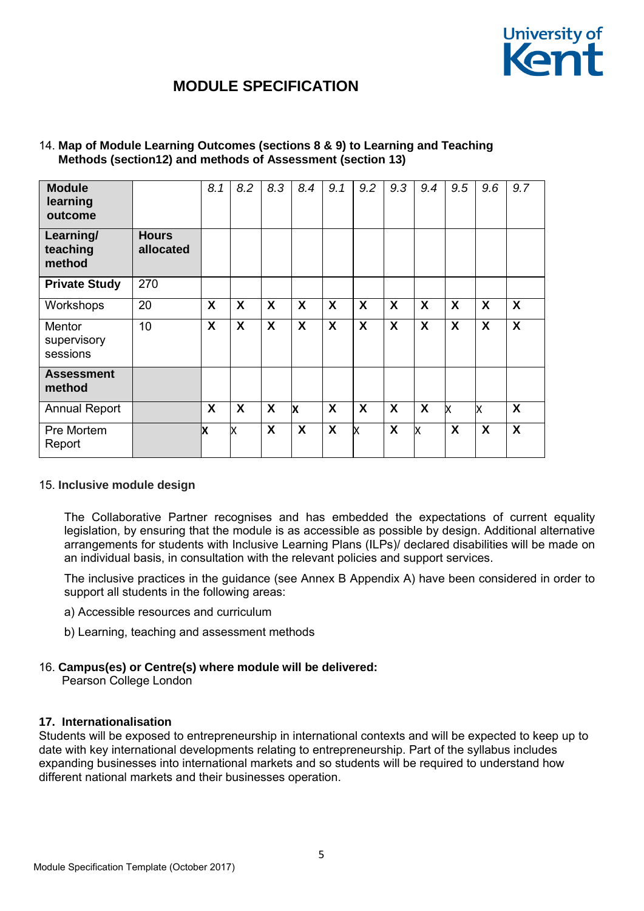

| <b>Module</b><br>learning<br>outcome |                           | 8.1 | 8.2              | 8.3                       | 8.4              | 9.1 | 9.2              | 9.3 | 9.4                       | 9.5 | 9.6 | 9.7 |
|--------------------------------------|---------------------------|-----|------------------|---------------------------|------------------|-----|------------------|-----|---------------------------|-----|-----|-----|
| Learning/<br>teaching<br>method      | <b>Hours</b><br>allocated |     |                  |                           |                  |     |                  |     |                           |     |     |     |
| <b>Private Study</b>                 | 270                       |     |                  |                           |                  |     |                  |     |                           |     |     |     |
| Workshops                            | 20                        | X   | X                | X                         | $\boldsymbol{X}$ | X   | X                | X   | X                         | X   | X   | X   |
| Mentor<br>supervisory<br>sessions    | 10                        | X   | X                | X                         | $\boldsymbol{X}$ | X   | X                | X   | X                         | X   | X   | X   |
| <b>Assessment</b><br>method          |                           |     |                  |                           |                  |     |                  |     |                           |     |     |     |
| <b>Annual Report</b>                 |                           | X   | $\boldsymbol{X}$ | $\boldsymbol{\mathsf{X}}$ | X                | X   | $\boldsymbol{X}$ | X   | $\boldsymbol{\mathsf{X}}$ | X   | X   | X   |
| Pre Mortem<br>Report                 |                           | x   | x                | X                         | X                | X   | X                | X   | x                         | X   | X   | X   |

#### 14. **Map of Module Learning Outcomes (sections 8 & 9) to Learning and Teaching Methods (section12) and methods of Assessment (section 13)**

#### 15. **Inclusive module design**

The Collaborative Partner recognises and has embedded the expectations of current equality legislation, by ensuring that the module is as accessible as possible by design. Additional alternative arrangements for students with Inclusive Learning Plans (ILPs)/ declared disabilities will be made on an individual basis, in consultation with the relevant policies and support services.

The inclusive practices in the guidance (see Annex B Appendix A) have been considered in order to support all students in the following areas:

- a) Accessible resources and curriculum
- b) Learning, teaching and assessment methods

### 16. **Campus(es) or Centre(s) where module will be delivered:**

Pearson College London

#### **17. Internationalisation**

Students will be exposed to entrepreneurship in international contexts and will be expected to keep up to date with key international developments relating to entrepreneurship. Part of the syllabus includes expanding businesses into international markets and so students will be required to understand how different national markets and their businesses operation.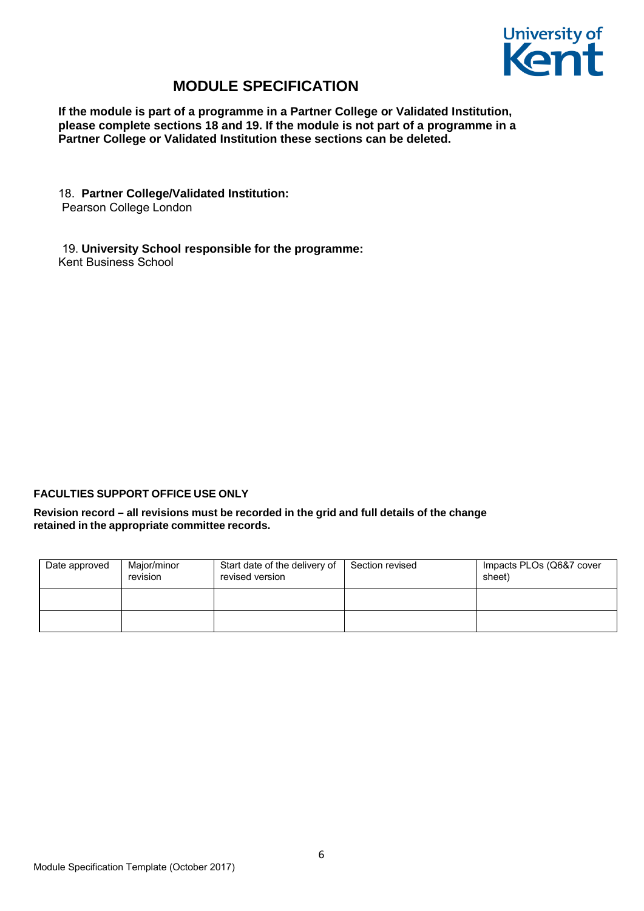

**If the module is part of a programme in a Partner College or Validated Institution, please complete sections 18 and 19. If the module is not part of a programme in a Partner College or Validated Institution these sections can be deleted.** 

#### 18. **Partner College/Validated Institution:**

Pearson College London

19. **University School responsible for the programme:** Kent Business School

#### **FACULTIES SUPPORT OFFICE USE ONLY**

**Revision record – all revisions must be recorded in the grid and full details of the change retained in the appropriate committee records.**

| Date approved | Major/minor<br>revision | Start date of the delivery of<br>revised version | Section revised | Impacts PLOs (Q6&7 cover<br>sheet) |
|---------------|-------------------------|--------------------------------------------------|-----------------|------------------------------------|
|               |                         |                                                  |                 |                                    |
|               |                         |                                                  |                 |                                    |